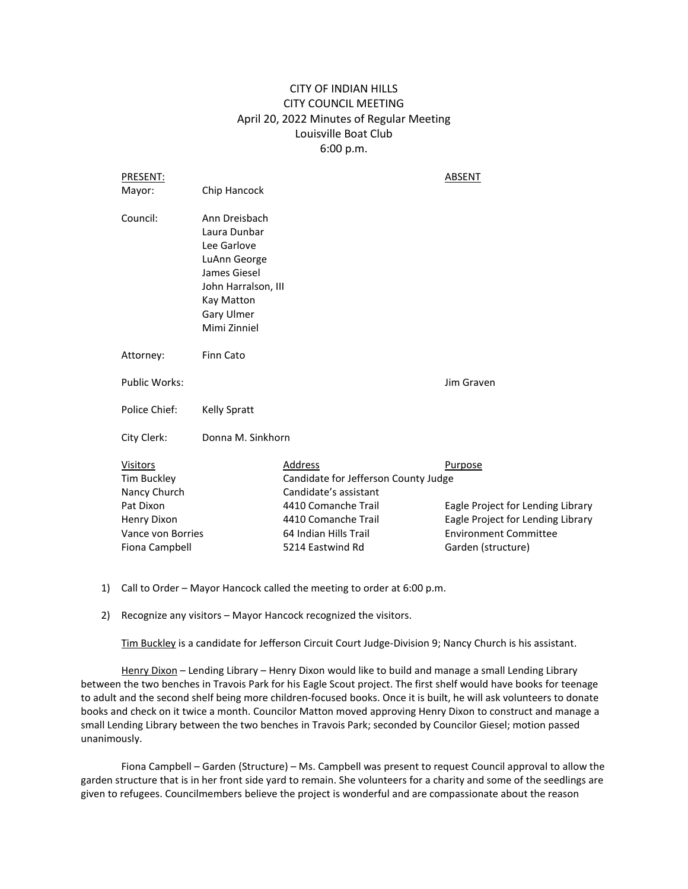# CITY OF INDIAN HILLS CITY COUNCIL MEETING April 20, 2022 Minutes of Regular Meeting Louisville Boat Club 6:00 p.m.

| PRESENT:                                       |                                                                                                                                                 |                                                                          | ABSENT                                                                 |
|------------------------------------------------|-------------------------------------------------------------------------------------------------------------------------------------------------|--------------------------------------------------------------------------|------------------------------------------------------------------------|
| Mayor:                                         | Chip Hancock                                                                                                                                    |                                                                          |                                                                        |
| Council:                                       | Ann Dreisbach<br>Laura Dunbar<br>Lee Garlove<br>LuAnn George<br>James Giesel<br>John Harralson, III<br>Kay Matton<br>Gary Ulmer<br>Mimi Zinniel |                                                                          |                                                                        |
| Attorney:                                      | Finn Cato                                                                                                                                       |                                                                          |                                                                        |
| <b>Public Works:</b>                           |                                                                                                                                                 |                                                                          | Jim Graven                                                             |
| Police Chief:                                  | <b>Kelly Spratt</b>                                                                                                                             |                                                                          |                                                                        |
| City Clerk:                                    | Donna M. Sinkhorn                                                                                                                               |                                                                          |                                                                        |
| <b>Visitors</b><br>Tim Buckley<br>Nancy Church |                                                                                                                                                 | Address<br>Candidate for Jefferson County Judge<br>Candidate's assistant | Purpose                                                                |
| Pat Dixon<br>Henry Dixon                       |                                                                                                                                                 | 4410 Comanche Trail<br>4410 Comanche Trail                               | Eagle Project for Lending Library<br>Eagle Project for Lending Library |
| Vance von Borries                              |                                                                                                                                                 | 64 Indian Hills Trail                                                    | <b>Environment Committee</b>                                           |
| Fiona Campbell                                 |                                                                                                                                                 | 5214 Eastwind Rd                                                         | Garden (structure)                                                     |

- 1) Call to Order Mayor Hancock called the meeting to order at 6:00 p.m.
- 2) Recognize any visitors Mayor Hancock recognized the visitors.

Tim Buckley is a candidate for Jefferson Circuit Court Judge-Division 9; Nancy Church is his assistant.

Henry Dixon - Lending Library - Henry Dixon would like to build and manage a small Lending Library between the two benches in Travois Park for his Eagle Scout project. The first shelf would have books for teenage to adult and the second shelf being more children-focused books. Once it is built, he will ask volunteers to donate books and check on it twice a month. Councilor Matton moved approving Henry Dixon to construct and manage a small Lending Library between the two benches in Travois Park; seconded by Councilor Giesel; motion passed unanimously.

Fiona Campbell – Garden (Structure) – Ms. Campbell was present to request Council approval to allow the garden structure that is in her front side yard to remain. She volunteers for a charity and some of the seedlings are given to refugees. Councilmembers believe the project is wonderful and are compassionate about the reason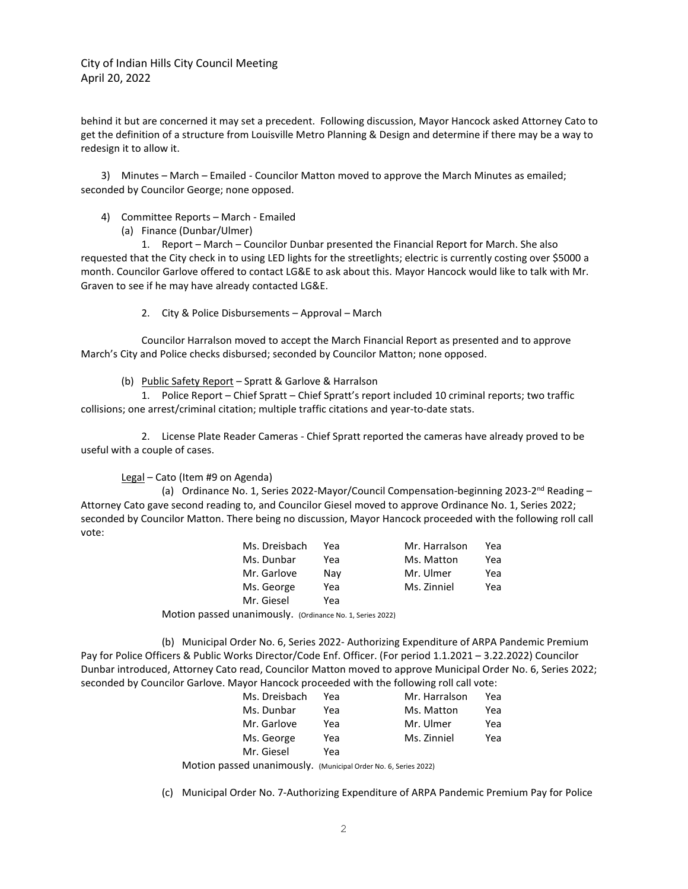City of Indian Hills City Council Meeting April 20, 2022

behind it but are concerned it may set a precedent. Following discussion, Mayor Hancock asked Attorney Cato to get the definition of a structure from Louisville Metro Planning & Design and determine if there may be a way to redesign it to allow it.

3) Minutes – March – Emailed - Councilor Matton moved to approve the March Minutes as emailed; seconded by Councilor George; none opposed.

- 4) Committee Reports March Emailed
	- (a) Finance (Dunbar/Ulmer)

1. Report – March – Councilor Dunbar presented the Financial Report for March. She also requested that the City check in to using LED lights for the streetlights; electric is currently costing over \$5000 a month. Councilor Garlove offered to contact LG&E to ask about this. Mayor Hancock would like to talk with Mr. Graven to see if he may have already contacted LG&E.

2. City & Police Disbursements – Approval – March

Councilor Harralson moved to accept the March Financial Report as presented and to approve March's City and Police checks disbursed; seconded by Councilor Matton; none opposed.

(b) Public Safety Report – Spratt & Garlove & Harralson

1. Police Report – Chief Spratt – Chief Spratt's report included 10 criminal reports; two traffic collisions; one arrest/criminal citation; multiple traffic citations and year-to-date stats.

2. License Plate Reader Cameras - Chief Spratt reported the cameras have already proved to be useful with a couple of cases.

Legal – Cato (Item #9 on Agenda)

(a) Ordinance No. 1, Series 2022-Mayor/Council Compensation-beginning 2023-2<sup>nd</sup> Reading -Attorney Cato gave second reading to, and Councilor Giesel moved to approve Ordinance No. 1, Series 2022; seconded by Councilor Matton. There being no discussion, Mayor Hancock proceeded with the following roll call vote:

| Ms. Dreisbach | Yea | Mr. Harralson | Yea |
|---------------|-----|---------------|-----|
| Ms. Dunbar    | Yea | Ms. Matton    | Yea |
| Mr. Garlove   | Nav | Mr. Ulmer     | Yea |
| Ms. George    | Yea | Ms. Zinniel   | Yea |
| Mr. Giesel    | Yea |               |     |

Motion passed unanimously. (Ordinance No. 1, Series 2022)

(b) Municipal Order No. 6, Series 2022- Authorizing Expenditure of ARPA Pandemic Premium Pay for Police Officers & Public Works Director/Code Enf. Officer. (For period 1.1.2021 – 3.22.2022) Councilor Dunbar introduced, Attorney Cato read, Councilor Matton moved to approve Municipal Order No. 6, Series 2022; seconded by Councilor Garlove. Mayor Hancock proceeded with the following roll call vote:

| Ms. Dreisbach | Yea | Mr. Harralson | Yea |
|---------------|-----|---------------|-----|
| Ms. Dunbar    | Yea | Ms. Matton    | Yea |
| Mr. Garlove   | Yea | Mr. Ulmer     | Yea |
| Ms. George    | Yea | Ms. Zinniel   | Yea |
| Mr. Giesel    | Yea |               |     |

Motion passed unanimously. (Municipal Order No. 6, Series 2022)

(c) Municipal Order No. 7-Authorizing Expenditure of ARPA Pandemic Premium Pay for Police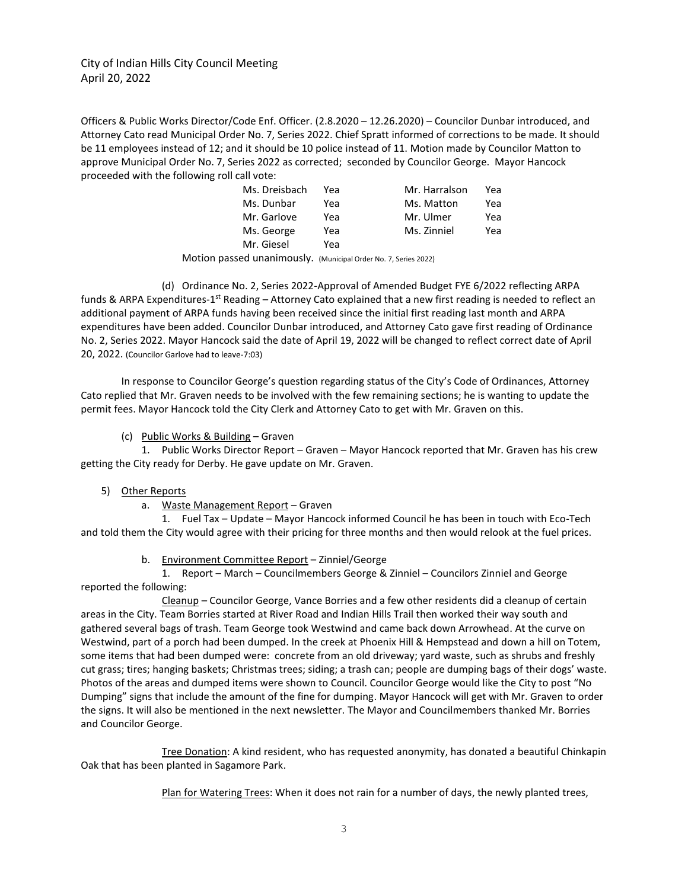City of Indian Hills City Council Meeting April 20, 2022

Officers & Public Works Director/Code Enf. Officer. (2.8.2020 – 12.26.2020) – Councilor Dunbar introduced, and Attorney Cato read Municipal Order No. 7, Series 2022. Chief Spratt informed of corrections to be made. It should be 11 employees instead of 12; and it should be 10 police instead of 11. Motion made by Councilor Matton to approve Municipal Order No. 7, Series 2022 as corrected; seconded by Councilor George. Mayor Hancock proceeded with the following roll call vote:

| Ms. Dreisbach | Yea | Mr. Harralson | Yea |
|---------------|-----|---------------|-----|
| Ms. Dunbar    | Yea | Ms. Matton    | Yea |
| Mr. Garlove   | Yea | Mr. Ulmer     | Yea |
| Ms. George    | Yea | Ms. Zinniel   | Yea |
| Mr. Giesel    | Yea |               |     |

Motion passed unanimously. (Municipal Order No. 7, Series 2022)

(d) Ordinance No. 2, Series 2022-Approval of Amended Budget FYE 6/2022 reflecting ARPA funds & ARPA Expenditures-1<sup>st</sup> Reading – Attorney Cato explained that a new first reading is needed to reflect an additional payment of ARPA funds having been received since the initial first reading last month and ARPA expenditures have been added. Councilor Dunbar introduced, and Attorney Cato gave first reading of Ordinance No. 2, Series 2022. Mayor Hancock said the date of April 19, 2022 will be changed to reflect correct date of April 20, 2022. (Councilor Garlove had to leave-7:03)

In response to Councilor George's question regarding status of the City's Code of Ordinances, Attorney Cato replied that Mr. Graven needs to be involved with the few remaining sections; he is wanting to update the permit fees. Mayor Hancock told the City Clerk and Attorney Cato to get with Mr. Graven on this.

## (c) Public Works & Building – Graven

1. Public Works Director Report – Graven – Mayor Hancock reported that Mr. Graven has his crew getting the City ready for Derby. He gave update on Mr. Graven.

#### 5) Other Reports

a. Waste Management Report – Graven

1. Fuel Tax – Update – Mayor Hancock informed Council he has been in touch with Eco-Tech and told them the City would agree with their pricing for three months and then would relook at the fuel prices.

# b. Environment Committee Report – Zinniel/George

1. Report – March – Councilmembers George & Zinniel – Councilors Zinniel and George reported the following:

Cleanup – Councilor George, Vance Borries and a few other residents did a cleanup of certain areas in the City. Team Borries started at River Road and Indian Hills Trail then worked their way south and gathered several bags of trash. Team George took Westwind and came back down Arrowhead. At the curve on Westwind, part of a porch had been dumped. In the creek at Phoenix Hill & Hempstead and down a hill on Totem, some items that had been dumped were: concrete from an old driveway; yard waste, such as shrubs and freshly cut grass; tires; hanging baskets; Christmas trees; siding; a trash can; people are dumping bags of their dogs' waste. Photos of the areas and dumped items were shown to Council. Councilor George would like the City to post "No Dumping" signs that include the amount of the fine for dumping. Mayor Hancock will get with Mr. Graven to order the signs. It will also be mentioned in the next newsletter. The Mayor and Councilmembers thanked Mr. Borries and Councilor George.

Tree Donation: A kind resident, who has requested anonymity, has donated a beautiful Chinkapin Oak that has been planted in Sagamore Park.

Plan for Watering Trees: When it does not rain for a number of days, the newly planted trees,